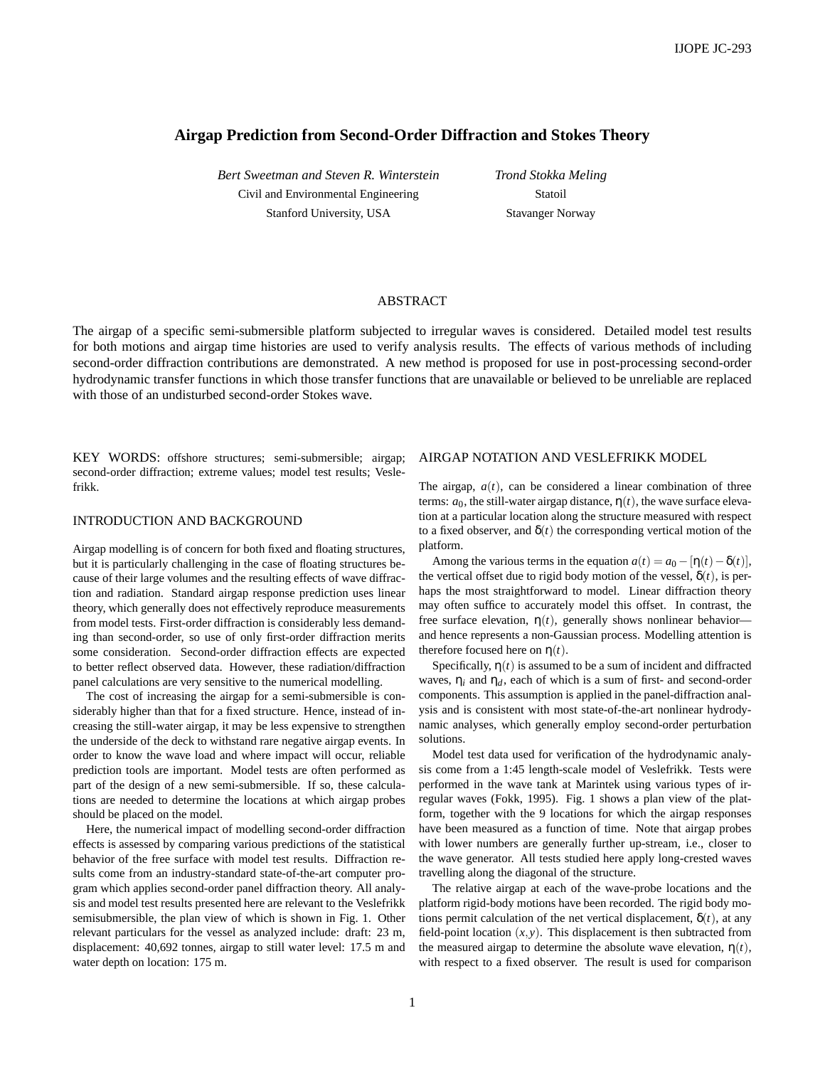## **Airgap Prediction from Second-Order Diffraction and Stokes Theory**

*Bert Sweetman and Steven R. Winterstein* Civil and Environmental Engineering Stanford University, USA

*Trond Stokka Meling* Statoil Stavanger Norway

### ABSTRACT

The airgap of a specific semi-submersible platform subjected to irregular waves is considered. Detailed model test results for both motions and airgap time histories are used to verify analysis results. The effects of various methods of including second-order diffraction contributions are demonstrated. A new method is proposed for use in post-processing second-order hydrodynamic transfer functions in which those transfer functions that are unavailable or believed to be unreliable are replaced with those of an undisturbed second-order Stokes wave.

KEY WORDS: offshore structures; semi-submersible; airgap; second-order diffraction; extreme values; model test results; Veslefrikk.

# INTRODUCTION AND BACKGROUND

Airgap modelling is of concern for both fixed and floating structures, but it is particularly challenging in the case of floating structures because of their large volumes and the resulting effects of wave diffraction and radiation. Standard airgap response prediction uses linear theory, which generally does not effectively reproduce measurements from model tests. First-order diffraction is considerably less demanding than second-order, so use of only first-order diffraction merits some consideration. Second-order diffraction effects are expected to better reflect observed data. However, these radiation/diffraction panel calculations are very sensitive to the numerical modelling.

The cost of increasing the airgap for a semi-submersible is considerably higher than that for a fixed structure. Hence, instead of increasing the still-water airgap, it may be less expensive to strengthen the underside of the deck to withstand rare negative airgap events. In order to know the wave load and where impact will occur, reliable prediction tools are important. Model tests are often performed as part of the design of a new semi-submersible. If so, these calculations are needed to determine the locations at which airgap probes should be placed on the model.

Here, the numerical impact of modelling second-order diffraction effects is assessed by comparing various predictions of the statistical behavior of the free surface with model test results. Diffraction results come from an industry-standard state-of-the-art computer program which applies second-order panel diffraction theory. All analysis and model test results presented here are relevant to the Veslefrikk semisubmersible, the plan view of which is shown in Fig. 1. Other relevant particulars for the vessel as analyzed include: draft: 23 m, displacement: 40,692 tonnes, airgap to still water level: 17.5 m and water depth on location: 175 m.

#### AIRGAP NOTATION AND VESLEFRIKK MODEL

The airgap,  $a(t)$ , can be considered a linear combination of three terms:  $a_0$ , the still-water airgap distance,  $\eta(t)$ , the wave surface elevation at a particular location along the structure measured with respect to a fixed observer, and  $\delta(t)$  the corresponding vertical motion of the platform.

Among the various terms in the equation  $a(t) = a_0 - [\eta(t) - \delta(t)],$ the vertical offset due to rigid body motion of the vessel,  $\delta(t)$ , is perhaps the most straightforward to model. Linear diffraction theory may often suffice to accurately model this offset. In contrast, the free surface elevation,  $\eta(t)$ , generally shows nonlinear behavior and hence represents a non-Gaussian process. Modelling attention is therefore focused here on  $\eta(t)$ .

Specifically,  $\eta(t)$  is assumed to be a sum of incident and diffracted waves,  $\eta_i$  and  $\eta_d$ , each of which is a sum of first- and second-order components. This assumption is applied in the panel-diffraction analysis and is consistent with most state-of-the-art nonlinear hydrodynamic analyses, which generally employ second-order perturbation solutions.

Model test data used for verification of the hydrodynamic analysis come from a 1:45 length-scale model of Veslefrikk. Tests were performed in the wave tank at Marintek using various types of irregular waves (Fokk, 1995). Fig. 1 shows a plan view of the platform, together with the 9 locations for which the airgap responses have been measured as a function of time. Note that airgap probes with lower numbers are generally further up-stream, i.e., closer to the wave generator. All tests studied here apply long-crested waves travelling along the diagonal of the structure.

The relative airgap at each of the wave-probe locations and the platform rigid-body motions have been recorded. The rigid body motions permit calculation of the net vertical displacement,  $\delta(t)$ , at any field-point location  $(x, y)$ . This displacement is then subtracted from the measured airgap to determine the absolute wave elevation,  $\eta(t)$ , with respect to a fixed observer. The result is used for comparison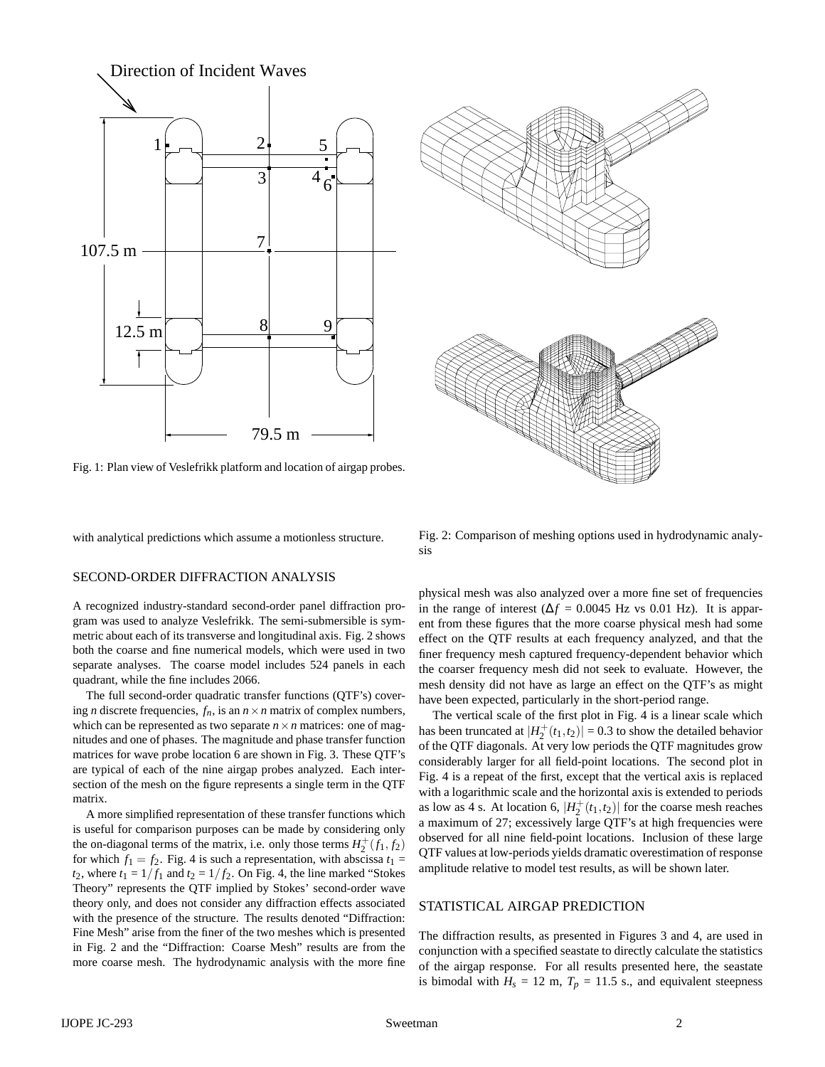

Fig. 1: Plan view of Veslefrikk platform and location of airgap probes.

with analytical predictions which assume a motionless structure.

### SECOND-ORDER DIFFRACTION ANALYSIS

A recognized industry-standard second-order panel diffraction program was used to analyze Veslefrikk. The semi-submersible is symmetric about each of its transverse and longitudinal axis. Fig. 2 shows both the coarse and fine numerical models, which were used in two separate analyses. The coarse model includes 524 panels in each quadrant, while the fine includes 2066.

The full second-order quadratic transfer functions (QTF's) covering *n* discrete frequencies,  $f_n$ , is an  $n \times n$  matrix of complex numbers, which can be represented as two separate  $n \times n$  matrices: one of magnitudes and one of phases. The magnitude and phase transfer function matrices for wave probe location 6 are shown in Fig. 3. These QTF's are typical of each of the nine airgap probes analyzed. Each intersection of the mesh on the figure represents a single term in the QTF matrix.

A more simplified representation of these transfer functions which is useful for comparison purposes can be made by considering only the on-diagonal terms of the matrix, i.e. only those terms  $H_2^+(\tilde{f}_1, \tilde{f}_2)$ for which  $f_1 = f_2$ . Fig. 4 is such a representation, with abscissa  $t_1 =$  $t_2$ , where  $t_1 = 1/f_1$  and  $t_2 = 1/f_2$ . On Fig. 4, the line marked "Stokes" Theory" represents the QTF implied by Stokes' second-order wave theory only, and does not consider any diffraction effects associated with the presence of the structure. The results denoted "Diffraction: Fine Mesh" arise from the finer of the two meshes which is presented in Fig. 2 and the "Diffraction: Coarse Mesh" results are from the more coarse mesh. The hydrodynamic analysis with the more fine



Fig. 2: Comparison of meshing options used in hydrodynamic analysis

physical mesh was also analyzed over a more fine set of frequencies in the range of interest ( $\Delta f = 0.0045$  Hz vs 0.01 Hz). It is apparent from these figures that the more coarse physical mesh had some effect on the QTF results at each frequency analyzed, and that the finer frequency mesh captured frequency-dependent behavior which the coarser frequency mesh did not seek to evaluate. However, the mesh density did not have as large an effect on the QTF's as might have been expected, particularly in the short-period range.

The vertical scale of the first plot in Fig. 4 is a linear scale which has been truncated at  $|H_2^+(t_1,t_2)| = 0.3$  to show the detailed behavior of the QTF diagonals. At very low periods the QTF magnitudes grow considerably larger for all field-point locations. The second plot in Fig. 4 is a repeat of the first, except that the vertical axis is replaced with a logarithmic scale and the horizontal axis is extended to periods as low as 4 s. At location 6,  $|H_2^+(t_1,t_2)|$  for the coarse mesh reaches a maximum of 27; excessively large QTF's at high frequencies were observed for all nine field-point locations. Inclusion of these large QTF values at low-periods yields dramatic overestimation of response amplitude relative to model test results, as will be shown later.

### STATISTICAL AIRGAP PREDICTION

The diffraction results, as presented in Figures 3 and 4, are used in conjunction with a specified seastate to directly calculate the statistics of the airgap response. For all results presented here, the seastate is bimodal with  $H_s = 12$  m,  $T_p = 11.5$  s., and equivalent steepness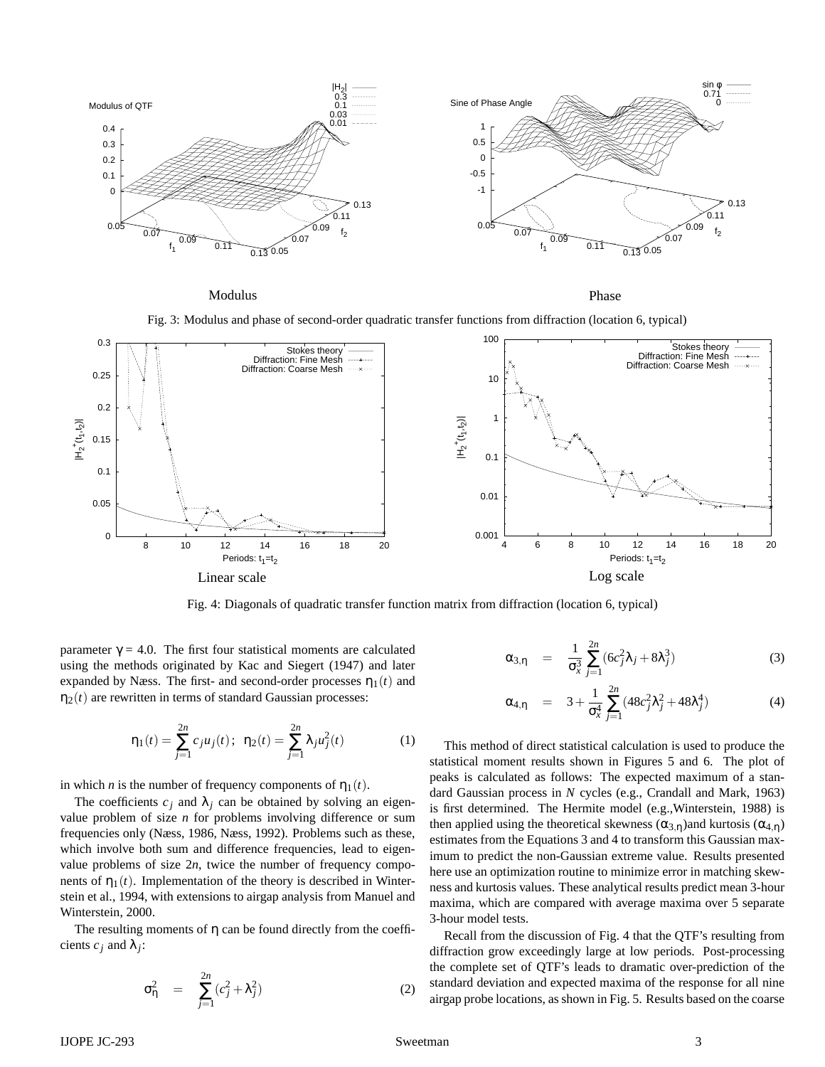

Modulus

Phase

Fig. 3: Modulus and phase of second-order quadratic transfer functions from diffraction (location 6, typical)



Fig. 4: Diagonals of quadratic transfer function matrix from diffraction (location 6, typical)

parameter  $\gamma = 4.0$ . The first four statistical moments are calculated using the methods originated by Kac and Siegert (1947) and later expanded by Næss. The first- and second-order processes  $\eta_1(t)$  and  $\eta_2(t)$  are rewritten in terms of standard Gaussian processes:

$$
\eta_1(t) = \sum_{j=1}^{2n} c_j u_j(t); \ \ \eta_2(t) = \sum_{j=1}^{2n} \lambda_j u_j^2(t) \tag{1}
$$

in which *n* is the number of frequency components of  $\eta_1(t)$ .

The coefficients  $c_j$  and  $\lambda_j$  can be obtained by solving an eigenvalue problem of size *n* for problems involving difference or sum frequencies only (Næss, 1986, Næss, 1992). Problems such as these, which involve both sum and difference frequencies, lead to eigenvalue problems of size  $2n$ , twice the number of frequency components of  $\eta_1(t)$ . Implementation of the theory is described in Winterstein et al., 1994, with extensions to airgap analysis from Manuel and Winterstein, 2000.

The resulting moments of  $\eta$  can be found directly from the coefficients  $c_j$  and  $\lambda_j$ :

$$
\sigma_{\eta}^2 = \sum_{j=1}^{2n} (c_j^2 + \lambda_j^2) \tag{2}
$$

$$
\alpha_{3,\eta} = \frac{1}{\sigma_x^3} \sum_{j=1}^{2n} (6c_j^2 \lambda_j + 8\lambda_j^3)
$$
 (3)

$$
\alpha_{4,\eta} = 3 + \frac{1}{\sigma_x^4} \sum_{j=1}^{2n} (48c_j^2 \lambda_j^2 + 48\lambda_j^4)
$$
 (4)

This method of direct statistical calculation is used to produce the statistical moment results shown in Figures 5 and 6. The plot of peaks is calculated as follows: The expected maximum of a standard Gaussian process in *N* cycles (e.g., Crandall and Mark, 1963) is first determined. The Hermite model (e.g.,Winterstein, 1988) is then applied using the theoretical skewness ( $\alpha_{3,n}$ )and kurtosis ( $\alpha_{4,n}$ ) estimates from the Equations 3 and 4 to transform this Gaussian maximum to predict the non-Gaussian extreme value. Results presented here use an optimization routine to minimize error in matching skewness and kurtosis values. These analytical results predict mean 3-hour maxima, which are compared with average maxima over 5 separate 3-hour model tests.

Recall from the discussion of Fig. 4 that the QTF's resulting from diffraction grow exceedingly large at low periods. Post-processing the complete set of QTF's leads to dramatic over-prediction of the standard deviation and expected maxima of the response for all nine airgap probe locations, as shown in Fig. 5. Results based on the coarse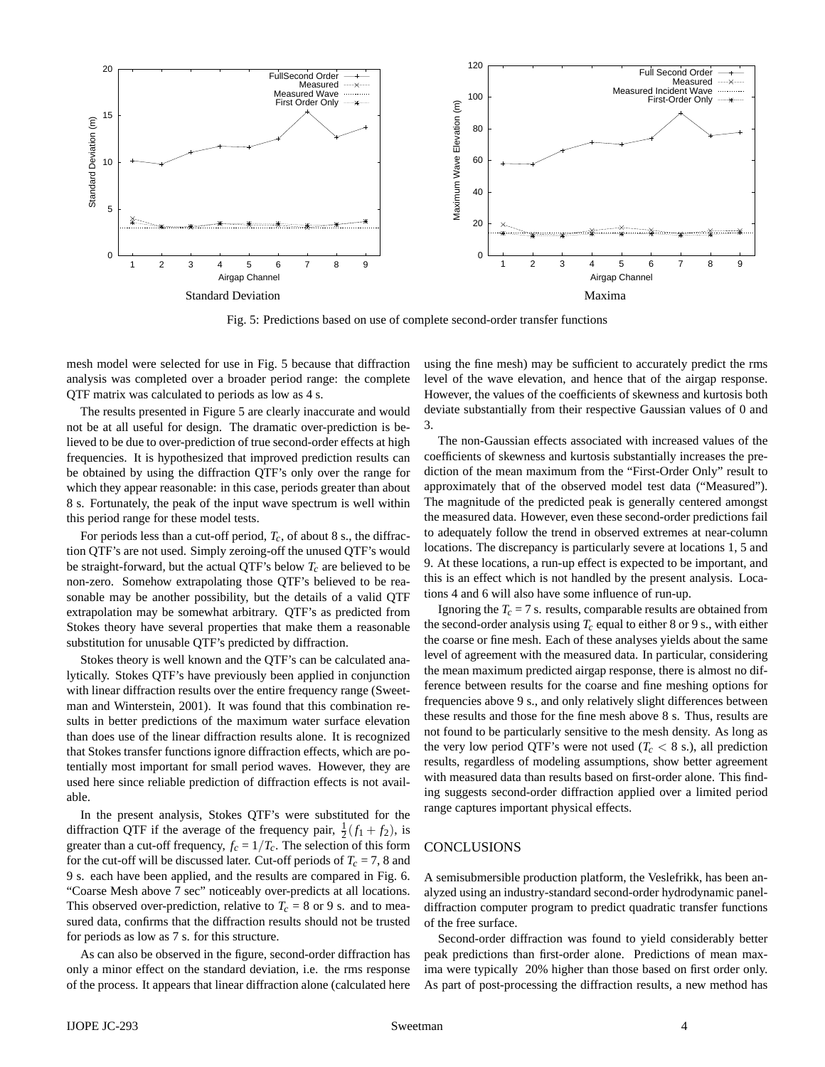

Fig. 5: Predictions based on use of complete second-order transfer functions

mesh model were selected for use in Fig. 5 because that diffraction analysis was completed over a broader period range: the complete QTF matrix was calculated to periods as low as 4 s.

The results presented in Figure 5 are clearly inaccurate and would not be at all useful for design. The dramatic over-prediction is believed to be due to over-prediction of true second-order effects at high frequencies. It is hypothesized that improved prediction results can be obtained by using the diffraction QTF's only over the range for which they appear reasonable: in this case, periods greater than about 8 s. Fortunately, the peak of the input wave spectrum is well within this period range for these model tests.

For periods less than a cut-off period, *Tc*, of about 8 s., the diffraction QTF's are not used. Simply zeroing-off the unused QTF's would be straight-forward, but the actual QTF's below  $T_c$  are believed to be non-zero. Somehow extrapolating those QTF's believed to be reasonable may be another possibility, but the details of a valid QTF extrapolation may be somewhat arbitrary. QTF's as predicted from Stokes theory have several properties that make them a reasonable substitution for unusable QTF's predicted by diffraction.

Stokes theory is well known and the QTF's can be calculated analytically. Stokes QTF's have previously been applied in conjunction with linear diffraction results over the entire frequency range (Sweetman and Winterstein, 2001). It was found that this combination results in better predictions of the maximum water surface elevation than does use of the linear diffraction results alone. It is recognized that Stokes transfer functions ignore diffraction effects, which are potentially most important for small period waves. However, they are used here since reliable prediction of diffraction effects is not available.

In the present analysis, Stokes QTF's were substituted for the diffraction QTF if the average of the frequency pair,  $\frac{1}{2}(f_1 + f_2)$ , is greater than a cut-off frequency,  $f_c = 1/T_c$ . The selection of this form for the cut-off will be discussed later. Cut-off periods of  $T_c = 7$ , 8 and 9 s. each have been applied, and the results are compared in Fig. 6. "Coarse Mesh above 7 sec" noticeably over-predicts at all locations. This observed over-prediction, relative to  $T_c = 8$  or 9 s. and to measured data, confirms that the diffraction results should not be trusted for periods as low as 7 s. for this structure.

As can also be observed in the figure, second-order diffraction has only a minor effect on the standard deviation, i.e. the rms response of the process. It appears that linear diffraction alone (calculated here

using the fine mesh) may be sufficient to accurately predict the rms level of the wave elevation, and hence that of the airgap response. However, the values of the coefficients of skewness and kurtosis both deviate substantially from their respective Gaussian values of 0 and 3.

The non-Gaussian effects associated with increased values of the coefficients of skewness and kurtosis substantially increases the prediction of the mean maximum from the "First-Order Only" result to approximately that of the observed model test data ("Measured"). The magnitude of the predicted peak is generally centered amongst the measured data. However, even these second-order predictions fail to adequately follow the trend in observed extremes at near-column locations. The discrepancy is particularly severe at locations 1, 5 and 9. At these locations, a run-up effect is expected to be important, and this is an effect which is not handled by the present analysis. Locations 4 and 6 will also have some influence of run-up.

Ignoring the  $T_c = 7$  s. results, comparable results are obtained from the second-order analysis using  $T_c$  equal to either 8 or 9 s., with either the coarse or fine mesh. Each of these analyses yields about the same level of agreement with the measured data. In particular, considering the mean maximum predicted airgap response, there is almost no difference between results for the coarse and fine meshing options for frequencies above 9 s., and only relatively slight differences between these results and those for the fine mesh above 8 s. Thus, results are not found to be particularly sensitive to the mesh density. As long as the very low period QTF's were not used ( $T_c$  < 8 s.), all prediction results, regardless of modeling assumptions, show better agreement with measured data than results based on first-order alone. This finding suggests second-order diffraction applied over a limited period range captures important physical effects.

#### **CONCLUSIONS**

A semisubmersible production platform, the Veslefrikk, has been analyzed using an industry-standard second-order hydrodynamic paneldiffraction computer program to predict quadratic transfer functions of the free surface.

Second-order diffraction was found to yield considerably better peak predictions than first-order alone. Predictions of mean maxima were typically 20% higher than those based on first order only. As part of post-processing the diffraction results, a new method has